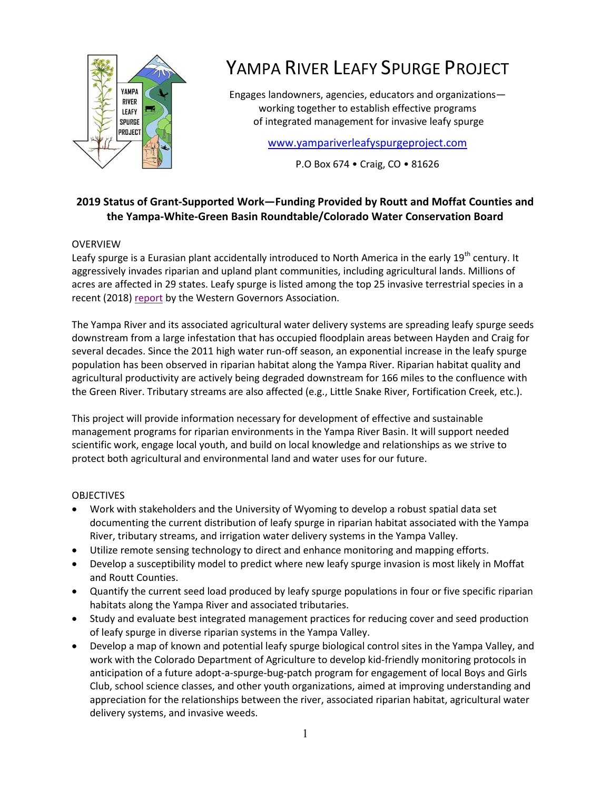

# YAMPA RIVER LEAFY SPURGE PROJECT

Engages landowners, agencies, educators and organizations working together to establish effective programs of integrated management for invasive leafy spurge

[www.yampariverleafyspurgeproject.com](http://www.yampariverleafyspurgeproject.com/)

P.O Box 674 • Craig, CO • 81626

# **2019 Status of Grant-Supported Work—Funding Provided by Routt and Moffat Counties and the Yampa-White-Green Basin Roundtable/Colorado Water Conservation Board**

## OVERVIEW

Leafy spurge is a Eurasian plant accidentally introduced to North America in the early 19<sup>th</sup> century. It aggressively invades riparian and upland plant communities, including agricultural lands. Millions of acres are affected in 29 states. Leafy spurge is listed among the top 25 invasive terrestrial species in a recent (2018) [report](https://static.wixstatic.com/ugd/631512_b40425f90db540eaaf086e96ae265077.pdf) by the Western Governors Association.

The Yampa River and its associated agricultural water delivery systems are spreading leafy spurge seeds downstream from a large infestation that has occupied floodplain areas between Hayden and Craig for several decades. Since the 2011 high water run-off season, an exponential increase in the leafy spurge population has been observed in riparian habitat along the Yampa River. Riparian habitat quality and agricultural productivity are actively being degraded downstream for 166 miles to the confluence with the Green River. Tributary streams are also affected (e.g., Little Snake River, Fortification Creek, etc.).

This project will provide information necessary for development of effective and sustainable management programs for riparian environments in the Yampa River Basin. It will support needed scientific work, engage local youth, and build on local knowledge and relationships as we strive to protect both agricultural and environmental land and water uses for our future.

#### OBJECTIVES

- Work with stakeholders and the University of Wyoming to develop a robust spatial data set documenting the current distribution of leafy spurge in riparian habitat associated with the Yampa River, tributary streams, and irrigation water delivery systems in the Yampa Valley.
- Utilize remote sensing technology to direct and enhance monitoring and mapping efforts.
- Develop a susceptibility model to predict where new leafy spurge invasion is most likely in Moffat and Routt Counties.
- Quantify the current seed load produced by leafy spurge populations in four or five specific riparian habitats along the Yampa River and associated tributaries.
- Study and evaluate best integrated management practices for reducing cover and seed production of leafy spurge in diverse riparian systems in the Yampa Valley.
- Develop a map of known and potential leafy spurge biological control sites in the Yampa Valley, and work with the Colorado Department of Agriculture to develop kid-friendly monitoring protocols in anticipation of a future adopt-a-spurge-bug-patch program for engagement of local Boys and Girls Club, school science classes, and other youth organizations, aimed at improving understanding and appreciation for the relationships between the river, associated riparian habitat, agricultural water delivery systems, and invasive weeds.